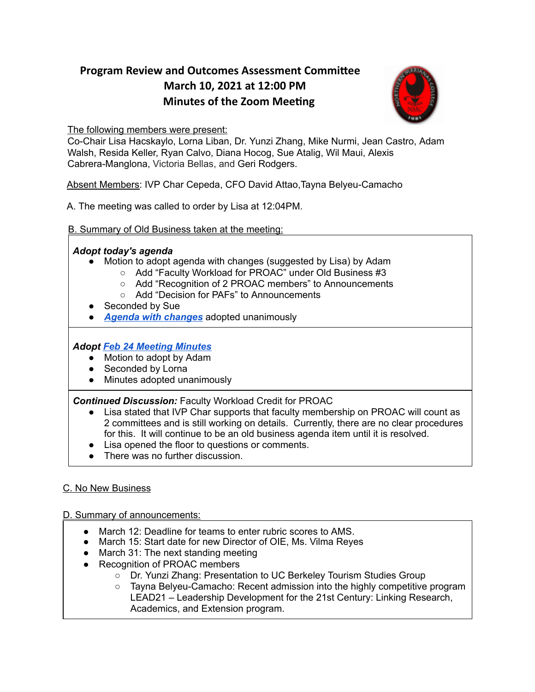# **Program Review and Outcomes Assessment Committee March 10, 2021 at 12:00 PM Minutes of the Zoom Meeting**



The following members were present:

Co-Chair Lisa Hacskaylo, Lorna Liban, Dr. Yunzi Zhang, Mike Nurmi, Jean Castro, Adam Walsh, Resida Keller, Ryan Calvo, Diana Hocog, Sue Atalig, Wil Maui, Alexis Cabrera-Manglona, Victoria Bellas, and Geri Rodgers.

Absent Members: IVP Char Cepeda, CFO David Attao,Tayna Belyeu-Camacho

A. The meeting was called to order by Lisa at 12:04PM.

B. Summary of Old Business taken at the meeting:

### *Adopt today's agenda*

- Motion to adopt agenda with changes (suggested by Lisa) by Adam
	- Add "Faculty Workload for PROAC" under Old Business #3
	- Add "Recognition of 2 PROAC members" to Announcements
	- Add "Decision for PAFs" to Announcements
- Seconded by Sue
- *Agenda with [changes](https://drive.google.com/file/d/15FYJ_v-ReEQHIzVgRKxhTZAPaVIBeARU/view?usp=sharing)* adopted unanimously

## *Adopt Feb 24 [Meeting](https://drive.google.com/file/d/1W6tUNxGifezyyiHN2zb4dNE6-PpfTzWW/view?usp=sharing) Minutes*

- Motion to adopt by Adam
- Seconded by Lorna
- Minutes adopted unanimously

*Continued Discussion:* Faculty Workload Credit for PROAC

- Lisa stated that IVP Char supports that faculty membership on PROAC will count as 2 committees and is still working on details. Currently, there are no clear procedures for this. It will continue to be an old business agenda item until it is resolved.
- Lisa opened the floor to questions or comments.
- There was no further discussion.

## C. No New Business

### D. Summary of announcements:

- March 12: Deadline for teams to enter rubric scores to AMS.
- March 15: Start date for new Director of OIE, Ms. Vilma Reyes
- March 31: The next standing meeting
- Recognition of PROAC members
	- Dr. Yunzi Zhang: Presentation to UC Berkeley Tourism Studies Group
	- Tayna Belyeu-Camacho: Recent admission into the highly competitive program LEAD21 – Leadership Development for the 21st Century: Linking Research, Academics, and Extension program.